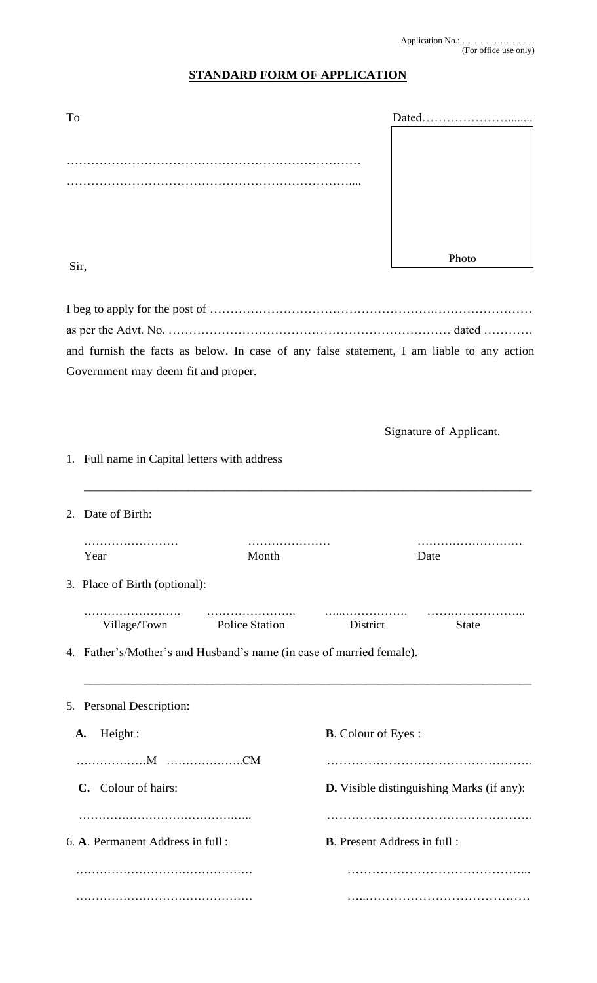……………………………………… ……………………………………...

……………………………………… …...…………………………………

## **STANDARD FORM OF APPLICATION**

| To                                                                                        |                             |                                           | $Dated$                 |  |
|-------------------------------------------------------------------------------------------|-----------------------------|-------------------------------------------|-------------------------|--|
|                                                                                           |                             |                                           |                         |  |
|                                                                                           |                             |                                           |                         |  |
|                                                                                           |                             |                                           |                         |  |
|                                                                                           |                             |                                           |                         |  |
|                                                                                           |                             |                                           |                         |  |
| Sir,                                                                                      |                             |                                           | Photo                   |  |
|                                                                                           |                             |                                           |                         |  |
|                                                                                           |                             |                                           |                         |  |
|                                                                                           |                             |                                           |                         |  |
| and furnish the facts as below. In case of any false statement, I am liable to any action |                             |                                           |                         |  |
| Government may deem fit and proper.                                                       |                             |                                           |                         |  |
|                                                                                           |                             |                                           |                         |  |
|                                                                                           |                             |                                           |                         |  |
|                                                                                           |                             |                                           | Signature of Applicant. |  |
| 1. Full name in Capital letters with address                                              |                             |                                           |                         |  |
|                                                                                           |                             |                                           |                         |  |
| Date of Birth:<br>2.                                                                      |                             |                                           |                         |  |
| .                                                                                         |                             |                                           |                         |  |
| Year                                                                                      | Month                       |                                           | Date                    |  |
| 3. Place of Birth (optional):                                                             |                             |                                           |                         |  |
|                                                                                           |                             | District                                  | <b>State</b>            |  |
|                                                                                           | Village/Town Police Station |                                           |                         |  |
| 4. Father's/Mother's and Husband's name (in case of married female).                      |                             |                                           |                         |  |
|                                                                                           |                             |                                           |                         |  |
| 5. Personal Description:                                                                  |                             |                                           |                         |  |
| Height:<br>A.                                                                             |                             | <b>B.</b> Colour of Eyes:                 |                         |  |
|                                                                                           |                             |                                           |                         |  |
| C. Colour of hairs:                                                                       |                             | D. Visible distinguishing Marks (if any): |                         |  |
|                                                                                           |                             |                                           |                         |  |
| 6. A. Permanent Address in full:                                                          |                             | <b>B.</b> Present Address in full :       |                         |  |